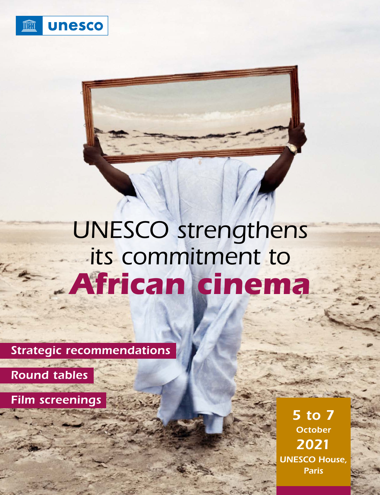



*Strategic recommendations*

*Round tables* 

*Film screenings*

*5 to 7 October 2021 UNESCO House, Paris*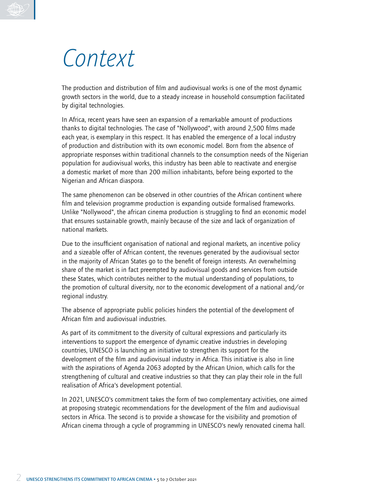## *Context*

The production and distribution of film and audiovisual works is one of the most dynamic growth sectors in the world, due to a steady increase in household consumption facilitated by digital technologies.

In Africa, recent years have seen an expansion of a remarkable amount of productions thanks to digital technologies. The case of "Nollywood", with around 2,500 films made each year, is exemplary in this respect. It has enabled the emergence of a local industry of production and distribution with its own economic model. Born from the absence of appropriate responses within traditional channels to the consumption needs of the Nigerian population for audiovisual works, this industry has been able to reactivate and energise a domestic market of more than 200 million inhabitants, before being exported to the Nigerian and African diaspora.

The same phenomenon can be observed in other countries of the African continent where film and television programme production is expanding outside formalised frameworks. Unlike "Nollywood", the african cinema production is struggling to find an economic model that ensures sustainable growth, mainly because of the size and lack of organization of national markets.

Due to the insufficient organisation of national and regional markets, an incentive policy and a sizeable offer of African content, the revenues generated by the audiovisual sector in the majority of African States go to the benefit of foreign interests. An overwhelming share of the market is in fact preempted by audiovisual goods and services from outside these States, which contributes neither to the mutual understanding of populations, to the promotion of cultural diversity, nor to the economic development of a national and/or regional industry.

The absence of appropriate public policies hinders the potential of the development of African film and audiovisual industries.

As part of its commitment to the diversity of cultural expressions and particularly its interventions to support the emergence of dynamic creative industries in developing countries, UNESCO is launching an initiative to strengthen its support for the development of the film and audiovisual industry in Africa. This initiative is also in line with the aspirations of Agenda 2063 adopted by the African Union, which calls for the strengthening of cultural and creative industries so that they can play their role in the full realisation of Africa's development potential.

In 2021, UNESCO's commitment takes the form of two complementary activities, one aimed at proposing strategic recommendations for the development of the film and audiovisual sectors in Africa. The second is to provide a showcase for the visibility and promotion of African cinema through a cycle of programming in UNESCO's newly renovated cinema hall.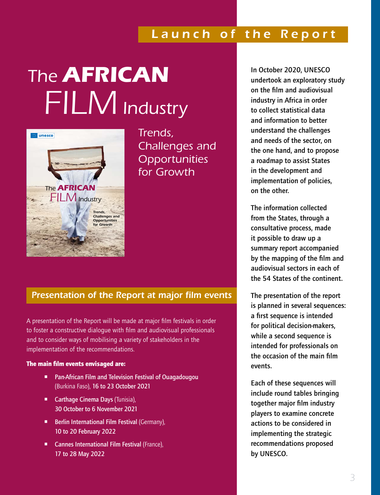## *Launch of the Report*

# *The AFRICAN FILM Industry*



*Trends, Challenges and Opportunities for Growth*

### *Presentation of the Report at major film events*

A presentation of the Report will be made at major film festivals in order to foster a constructive dialogue with film and audiovisual professionals and to consider ways of mobilising a variety of stakeholders in the implementation of the recommendations.

#### The main film events envisaged are:

- Pan-African Film and Television Festival of Ouagadougou (Burkina Faso), 16 to 23 October 2021
- Carthage Cinema Days (Tunisia), 30 October to 6 November 2021
- **E** Berlin International Film Festival (Germany), 10 to 20 February 2022
- Cannes International Film Festival (France), 17 to 28 May 2022

In October 2020, UNESCO undertook an exploratory study on the film and audiovisual industry in Africa in order to collect statistical data and information to better understand the challenges and needs of the sector, on the one hand, and to propose a roadmap to assist States in the development and implementation of policies, on the other.

The information collected from the States, through a consultative process, made it possible to draw up a summary report accompanied by the mapping of the film and audiovisual sectors in each of the 54 States of the continent.

The presentation of the report is planned in several sequences: a first sequence is intended for political decision-makers, while a second sequence is intended for professionals on the occasion of the main film events.

Each of these sequences will include round tables bringing together major film industry players to examine concrete actions to be considered in implementing the strategic recommendations proposed by UNESCO.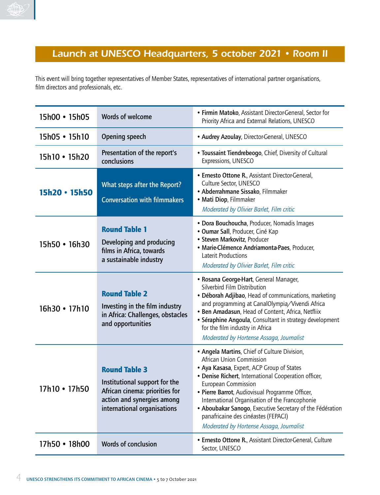### *Launch at UNESCO Headquarters, 5 october 2021* • *Room II*

This event will bring together representatives of Member States, representatives of international partner organisations, film directors and professionals, etc.

| 15h00 • 15h05 | Words of welcome                                                                                                                                     | • Firmin Matoko, Assistant Director-General, Sector for<br>Priority Africa and External Relations, UNESCO                                                                                                                                                                                                                                                                                                                                                 |
|---------------|------------------------------------------------------------------------------------------------------------------------------------------------------|-----------------------------------------------------------------------------------------------------------------------------------------------------------------------------------------------------------------------------------------------------------------------------------------------------------------------------------------------------------------------------------------------------------------------------------------------------------|
| 15h05 • 15h10 | Opening speech                                                                                                                                       | • Audrey Azoulay, Director-General, UNESCO                                                                                                                                                                                                                                                                                                                                                                                                                |
| 15h10 • 15h20 | Presentation of the report's<br>conclusions                                                                                                          | • Toussaint Tiendrebeogo, Chief, Diversity of Cultural<br>Expressions, UNESCO                                                                                                                                                                                                                                                                                                                                                                             |
| 15h20 · 15h50 | What steps after the Report?<br><b>Conversation with filmmakers</b>                                                                                  | • Ernesto Ottone R., Assistant Director-General,<br>Culture Sector, UNESCO<br>· Abderrahmane Sissako, Filmmaker<br>· Mati Diop, Filmmaker<br>Moderated by Olivier Barlet, Film critic                                                                                                                                                                                                                                                                     |
| 15h50 · 16h30 | <b>Round Table 1</b><br>Developing and producing<br>films in Africa, towards<br>a sustainable industry                                               | • Dora Bouchoucha, Producer, Nomadis Images<br>· Oumar Sall, Producer, Ciné Kap<br>· Steven Markovitz, Producer<br>· Marie-Clémence Andriamonta-Paes, Producer,<br>Laterit Productions<br>Moderated by Olivier Barlet, Film critic                                                                                                                                                                                                                        |
| 16h30 • 17h10 | <b>Round Table 2</b><br>Investing in the film industry<br>in Africa: Challenges, obstacles<br>and opportunities                                      | • Rosana George-Hart, General Manager,<br>Silverbird Film Distribution<br>· Déborah Adjibao, Head of communications, marketing<br>and programming at CanalOlympia/Vivendi Africa<br>• Ben Amadasun, Head of Content, Africa, Netfliix<br>• Séraphine Angoula, Consultant in strategy development<br>for the film industry in Africa<br>Moderated by Hortense Assaga, Journalist                                                                           |
| 17h10 • 17h50 | <b>Round Table 3</b><br>Institutional support for the<br>African cinema: priorities for<br>action and synergies among<br>international organisations | • Angela Martins, Chief of Culture Division,<br>African Union Commission<br>• Aya Kasasa, Expert, ACP Group of States<br>• Denise Richert, International Cooperation officer,<br>European Commission<br>• Pierre Barrot, Audiovisual Programme Officer,<br>International Organisation of the Francophonie<br>• Aboubakar Sanogo, Executive Secretary of the Fédération<br>panafricaine des cinéastes (FEPACI)<br>Moderated by Hortense Assaga, Journalist |
| 17h50 • 18h00 | <b>Words of conclusion</b>                                                                                                                           | • Ernesto Ottone R., Assistant Director-General, Culture<br>Sector, UNESCO                                                                                                                                                                                                                                                                                                                                                                                |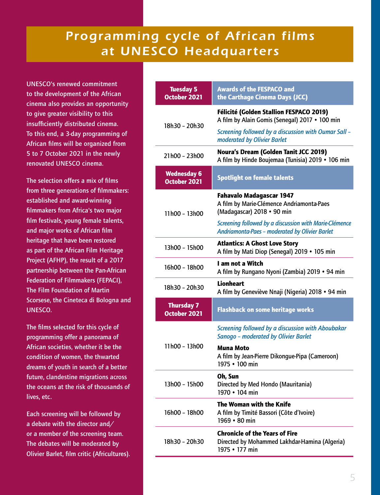## *Programming cycle of African films at UNESCO Headquarters*

UNESCO's renewed commitment to the development of the African cinema also provides an opportunity to give greater visibility to this insufficiently distributed cinema. To this end, a 3-day programming of African films will be organized from 5 to 7 October 2021 in the newly renovated UNESCO cinema.

The selection offers a mix of films from three generations of filmmakers: established and award-winning filmmakers from Africa's two major film festivals, young female talents, and major works of African film heritage that have been restored as part of the African Film Heritage Project (AFHP), the result of a 2017 partnership between the Pan-African Federation of Filmmakers (FEPACI), The Film Foundation of Martin Scorsese, the Cineteca di Bologna and UNESCO.

The films selected for this cycle of programming offer a panorama of African societies, whether it be the condition of women, the thwarted dreams of youth in search of a better future, clandestine migrations across the oceans at the risk of thousands of lives, etc.

Each screening will be followed by a debate with the director and/ or a member of the screening team. The debates will be moderated by Olivier Barlet, film critic (Africultures).

| <b>Tuesday 5</b><br><b>October 2021</b>   | <b>Awards of the FESPACO and</b><br>the Carthage Cinema Days (JCC)                                              |
|-------------------------------------------|-----------------------------------------------------------------------------------------------------------------|
|                                           | Félicité (Golden Stallion FESPACO 2019)<br>A film by Alain Gomis (Senegal) 2017 • 100 min                       |
| 18h30 - 20h30                             | Screening followed by a discussion with Oumar Sall -<br>moderated by Olivier Barlet                             |
| 21h00 - 23h00                             | <b>Noura's Dream (Golden Tanit JCC 2019)</b><br>A film by Hinde Boujemaa (Tunisia) 2019 • 106 min               |
| <b>Wednesday 6</b><br><b>October 2021</b> | <b>Spotlight on female talents</b>                                                                              |
| 11h00 - 13h00                             | <b>Fahavalo Madagascar 1947</b><br>A film by Marie-Clémence Andriamonta-Paes<br>(Madagascar) 2018 • 90 min      |
|                                           | Screening followed by a discussion with Marie-Clémence<br><b>Andriamonta-Paes - moderated by Olivier Barlet</b> |
| 13h00 - 15h00                             | <b>Atlantics: A Ghost Love Story</b><br>A film by Mati Diop (Senegal) 2019 • 105 min                            |
| 16h00 - 18h00                             | I am not a Witch<br>A film by Rungano Nyoni (Zambia) 2019 • 94 min                                              |
| 18h30 - 20h30                             | <b>Lionheart</b><br>A film by Geneviève Nnaji (Nigeria) 2018 • 94 min                                           |
| <b>Thursday 7</b><br>October 2021         | <b>Flashback on some heritage works</b>                                                                         |
|                                           | Screening followed by a discussion with Aboubakar<br><b>Sanogo - moderated by Olivier Barlet</b>                |
| 11h00 - 13h00                             | Muna Moto<br>A film by Jean-Pierre Dikonque-Pipa (Cameroon)<br>1975 • 100 min                                   |
| 13h00 - 15h00                             | Oh, Sun<br>Directed by Med Hondo (Mauritania)<br>1970 • 104 min                                                 |
| 16h00 - 18h00                             | The Woman with the Knife<br>A film by Timité Bassori (Côte d'Ivoire)<br>1969 • 80 min                           |
| 18h30 - 20h30                             | <b>Chronicle of the Years of Fire</b><br>Directed by Mohammed Lakhdar-Hamina (Algeria)<br>1975 • 177 min        |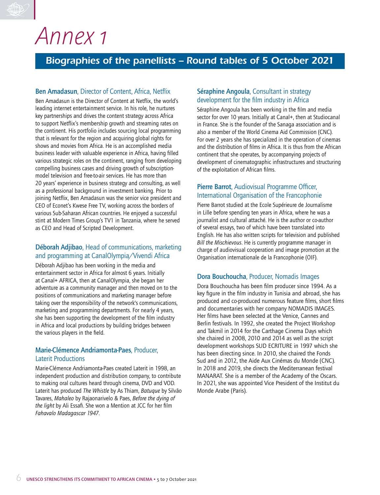## *Annex 1*

### *Biographies of the panellists – Round tables of 5 October 2021*

#### Ben Amadasun, Director of Content, Africa, Netflix

Ben Amadasun is the Director of Content at Netflix, the world's leading internet entertainment service. In his role, he nurtures key partnerships and drives the content strategy across Africa to support Netflix's membership growth and streaming rates on the continent. His portfolio includes sourcing local programming that is relevant for the region and acquiring global rights for shows and movies from Africa. He is an accomplished media business leader with valuable experience in Africa, having filled various strategic roles on the continent, ranging from developing compelling business cases and driving growth of subscriptionmodel television and free-to-air services. He has more than 20 years' experience in business strategy and consulting, as well as a professional background in investment banking. Prior to joining Netflix, Ben Amadasun was the senior vice president and CEO of Econet's Kwese Free TV, working across the borders of various Sub-Saharan African countries. He enjoyed a successful stint at Modern Times Group's TV1 in Tanzania, where he served as CEO and Head of Scripted Development.

#### Déborah Adjibao, Head of communications, marketing and programming at CanalOlympia/Vivendi Africa

Déborah Adjibao has been working in the media and entertainment sector in Africa for almost 6 years. Initially at Canal+ AFRICA, then at CanalOlympia, she began her adventure as a community manager and then moved on to the positions of communications and marketing manager before taking over the responsibility of the network's communications, marketing and programming departments. For nearly 4 years, she has been supporting the development of the film industry in Africa and local productions by building bridges between the various players in the field.

#### Marie-Clémence Andriamonta-Paes, Producer, Laterit Productions

Marie-Clémence Andriamonta-Paes created Laterit in 1998, an independent production and distribution company, to contribute to making oral cultures heard through cinema, DVD and VOD. Laterit has produced *The Whistle* by As Thiam, *Batuque* by Silvão Tavares, *Mahaleo* by Rajaonarivelo & Paes, *Before the dying of the light* by Ali Essafi. She won a Mention at JCC for her film *Fahavalo Madagascar 1947*.

#### Séraphine Angoula, Consultant in strategy development for the film industry in Africa

Séraphine Angoula has been working in the film and media sector for over 10 years. Initially at Canal+, then at Studiocanal in France. She is the founder of the Sanaga association and is also a member of the World Cinema Aid Commission (CNC). For over 2 years she has specialized in the operation of cinemas and the distribution of films in Africa. It is thus from the African continent that she operates, by accompanying projects of development of cinematographic infrastructures and structuring of the exploitation of African films.

#### Pierre Barrot, Audiovisual Programme Officer, International Organisation of the Francophonie

Pierre Barrot studied at the Ecole Supérieure de Journalisme in Lille before spending ten years in Africa, where he was a journalist and cultural attaché. He is the author or co-author of several essays, two of which have been translated into English. He has also written scripts for television and published *Bill the Mischievous*. He is currently programme manager in charge of audiovisual cooperation and image promotion at the Organisation internationale de la Francophonie (OIF).

#### Dora Bouchoucha, Producer, Nomadis Images

Dora Bouchoucha has been film producer since 1994. As a key figure in the film industry in Tunisia and abroad, she has produced and co-produced numerous feature films, short films and documentaries with her company NOMADIS IMAGES. Her films have been selected at the Venice, Cannes and Berlin festivals. In 1992, she created the Project Workshop and Takmil in 2014 for the Carthage Cinema Days which she chaired in 2008, 2010 and 2014 as well as the script development workshops SUD ECRITURE in 1997 which she has been directing since. In 2010, she chaired the Fonds Sud and in 2012, the Aide Aux Cinémas du Monde (CNC). In 2018 and 2019, she directs the Mediterranean festival MANARAT. She is a member of the Academy of the Oscars. In 2021, she was appointed Vice President of the Institut du Monde Arabe (Paris).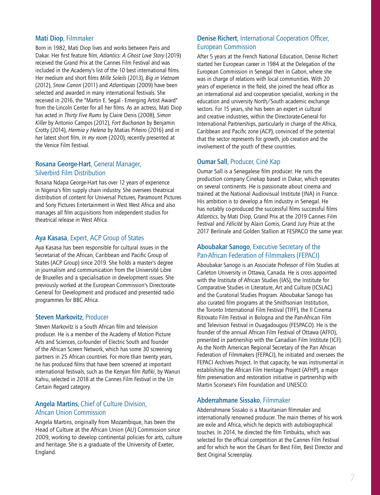#### Mati Diop, Filmmaker

Born in 1982, Mati Diop lives and works between Paris and Dakar. Her first feature film, *Atlantics: A Ghost Love Story* (2019) received the Grand Prix at the Cannes Film Festival and was included in the Academy's list of the 10 best international films. Her medium and short films *Mille Soleils* (2013), *Big in Vietnam* (2012), *Snow Canon* (2011) and *Atlantiques* (2009) have been selected and awarded in many international festivals. She received in 2016, the "Martin E. Segal - Emerging Artist Award" from the Lincoln Center for all her films. As an actress, Mati Diop has acted in *Thirty Five Rums* by Claire Denis (2008), *Simon Killer* by Antonio Campos (2012), *Fort Buchanan* by Benjamin Crotty (2014), *Hermia y Helena* by Matias Piñeiro (2016) and in her latest short film, *In my room* (2020), recently presented at the Venice Film Festival.

#### Rosana George-Hart, General Manager, Silverbird Film Distribution

Rosana Ndapa George-Hart has over 12 years of experience in Nigeria's film supply chain industry. She oversees theatrical distribution of content for Universal Pictures, Paramount Pictures and Sony Pictures Entertainment in West West Africa and also manages all film acquisitions from independent studios for theatrical release in West Africa.

#### Aya Kasasa, Expert, ACP Group of States

Aya Kasasa has been responsible for cultural issues in the Secretariat of the African, Caribbean and Pacific Group of States (ACP Group) since 2019. She holds a master's degree in journalism and communication from the Université Libre de Bruxelles and a specialisation in development issues. She previously worked at the European Commission's Directorate-General for Development and produced and presented radio programmes for BBC Africa.

#### **Steven Markovitz**, Producer

Steven Markovitz is a South African film and television producer. He is a member of the Academy of Motion Picture Arts and Sciences, co-founder of Electric South and founder of the African Screen Network, which has some 30 screening partners in 25 African countries. For more than twenty years, he has produced films that have been screened at important international festivals, such as the Kenyan film *Rafiki*, by Wanuri Kahiu, selected in 2018 at the Cannes Film Festival in the Un Certain Regard category.

#### Angela Martins, Chief of Culture Division, African Union Commission

Angela Martins, originally from Mozambique, has been the Head of Culture at the African Union (AU) Commission since 2009, working to develop continental policies for arts, culture and heritage. She is a graduate of the University of Exeter, England.

#### Denise Richert, International Cooperation Officer, European Commission

After 5 years at the French National Education, Denise Richert started her European career in 1984 at the Delegation of the European Commission in Senegal then in Gabon, where she was in charge of relations with local communities. With 20 years of experience in the field, she joined the head office as an international aid and cooperation specialist, working in the education and university North/South academic exchange sectors. For 15 years, she has been an expert in cultural and creative industries, within the Directorate-General for International Partnerships, particularly in charge of the Africa, Caribbean and Pacific zone (ACP), convinced of the potential that the sector represents for growth, job creation and the involvement of the youth of these countries.

#### Oumar Sall, Producer, Ciné Kap

Oumar Sall is a Senegalese film producer. He runs the production company Cinekap based in Dakar, which operates on several continents. He is passionate about cinema and trained at the National Audiovisual Institute (INA) in France. His ambition is to develop a film industry in Senegal. He has notably co-produced the successful films successful films *Atlantics*, by Mati Diop, Grand Prix at the 2019 Cannes Film Festival and *Félicité* by Alain Gomis, Grand Jury Prize at the 2017 Berlinale and Golden Stallion at FESPACO the same year.

#### Aboubakar Sanogo, Executive Secretary of the Pan-African Federation of Filmmakers (FEPACI)

Aboubakar Sanogo is an Associate Professor of Film Studies at Carleton University in Ottawa, Canada. He is cross appointed with the Institute of African Studies (IAS), the Institute for Comparative Studies in Literature, Art and Culture (ICSLAC) and the Curatorial Studies Program. Aboubakar Sanogo has also curated film programs at the Smithsonian Institution, the Toronto International Film Festival (TIFF), the Il Cinema Ritrovato Film Festival in Bologna and the Pan-African Film and Television Festival in Ouagadougou (FESPACO). He is the founder of the annual African Film Festival of Ottawa (AFFO), presented in partnership with the Canadian Film Institute (ICF). As the North American Regional Secretary of the Pan African Federation of Filmmakers (FEPACI), he initiated and oversees the FEPACI Archives Project. In that capacity, he was instrumental in establishing the African Film Heritage Project (AFHP), a major film preservation and restoration initiative in partnership with Martin Scorsese's Film Foundation and UNESCO.

#### Abderrahmane Sissako, Filmmaker

Abderrahmane Sissako is a Mauritanian filmmaker and internationally renowned producer. The main themes of his work are exile and Africa, which he depicts with autobiographical touches. In 2014, he directed the film Timbuktu, which was selected for the official competition at the Cannes Film Festival and for which he won the Césars for Best Film, Best Director and Best Original Screenplay.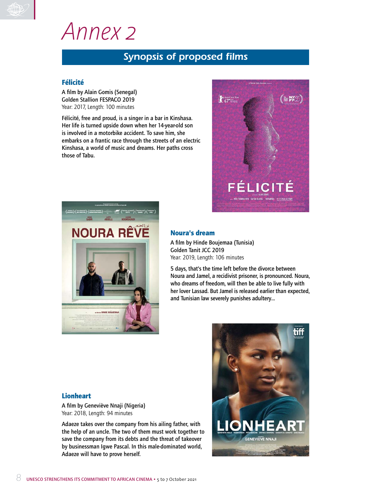## *Annex 2*

### *Synopsis of proposed films*

#### Félicité

A film by Alain Gomis (Senegal) Golden Stallion FESPACO 2019 Year: 2017, Length: 100 minutes

Félicité, free and proud, is a singer in a bar in Kinshasa. Her life is turned upside down when her 14-year-old son is involved in a motorbike accident. To save him, she embarks on a frantic race through the streets of an electric Kinshasa, a world of music and dreams. Her paths cross those of Tabu.





#### Noura's dream

A film by Hinde Boujemaa (Tunisia) Golden Tanit JCC 2019 Year: 2019, Length: 106 minutes

5 days, that's the time left before the divorce between Noura and Jamel, a recidivist prisoner, is pronounced. Noura, who dreams of freedom, will then be able to live fully with her lover Lassad. But Jamel is released earlier than expected, and Tunisian law severely punishes adultery…

#### **Lionheart**

A film by Geneviève Nnaji (Nigeria) Year: 2018, Length: 94 minutes

Adaeze takes over the company from his ailing father, with the help of an uncle. The two of them must work together to save the company from its debts and the threat of takeover by businessman Igwe Pascal. In this male-dominated world, Adaeze will have to prove herself.

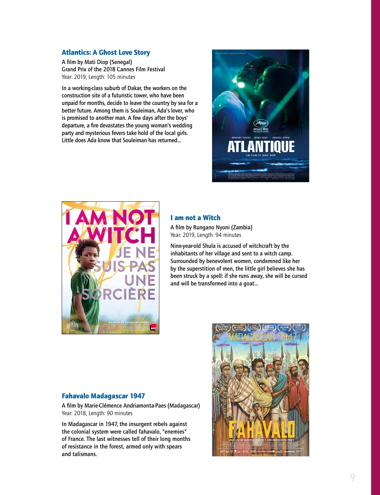#### Atlantics: A Ghost Love Story

A film by Mati Diop (Senegal) Grand Prix of the 2018 Cannes Film Festival Year: 2019, Length: 105 minutes

In a working-class suburb of Dakar, the workers on the construction site of a futuristic tower, who have been unpaid for months, decide to leave the country by sea for a better future. Among them is Souleiman, Ada's lover, who is promised to another man. A few days after the boys' departure, a fire devastates the young woman's wedding party and mysterious fevers take hold of the local girls. Little does Ada know that Souleiman has returned...





#### I am not a Witch

A film by Rungano Nyoni (Zambia) Year: 2019, Length: 94 minutes

Nine-year-old Shula is accused of witchcraft by the inhabitants of her village and sent to a witch camp. Surrounded by benevolent women, condemned like her by the superstition of men, the little girl believes she has been struck by a spell: if she runs away, she will be cursed and will be transformed into a goat...

#### Fahavalo Madagascar 1947

A film by Marie-Clémence Andriamonta-Paes (Madagascar) Year: 2018, Length: 90 minutes

In Madagascar in 1947, the insurgent rebels against the colonial system were called fahavalo, "enemies" of France. The last witnesses tell of their long months of resistance in the forest, armed only with spears and talismans.

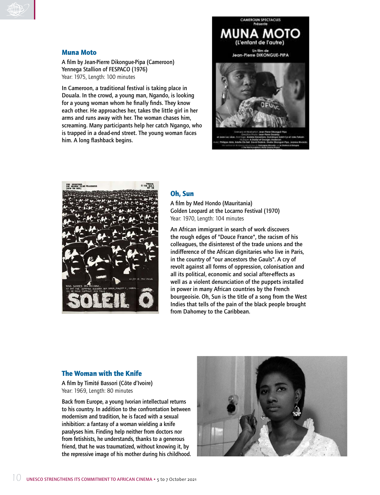#### Muna Moto

A film by Jean-Pierre Dikongue-Pipa (Cameroon) Yennega Stallion of FESPACO (1976) Year: 1975, Length: 100 minutes

In Cameroon, a traditional festival is taking place in Douala. In the crowd, a young man, Ngando, is looking for a young woman whom he finally finds. They know each other. He approaches her, takes the little girl in her arms and runs away with her. The woman chases him, screaming. Many participants help her catch Ngango, who is trapped in a dead-end street. The young woman faces him. A long flashback begins.





#### Oh, Sun

A film by Med Hondo (Mauritania) Golden Leopard at the Locarno Festival (1970) Year: 1970, Length: 104 minutes

An African immigrant in search of work discovers the rough edges of "Douce France", the racism of his colleagues, the disinterest of the trade unions and the indifference of the African dignitaries who live in Paris, in the country of "our ancestors the Gauls". A cry of revolt against all forms of oppression, colonisation and all its political, economic and social after-effects as well as a violent denunciation of the puppets installed in power in many African countries by the French bourgeoisie. Oh, Sun is the title of a song from the West Indies that tells of the pain of the black people brought from Dahomey to the Caribbean.

#### The Woman with the Knife

A film by Timité Bassori (Côte d'Ivoire) Year: 1969, Length: 80 minutes

Back from Europe, a young Ivorian intellectual returns to his country. In addition to the confrontation between modernism and tradition, he is faced with a sexual inhibition: a fantasy of a woman wielding a knife paralyses him. Finding help neither from doctors nor from fetishists, he understands, thanks to a generous friend, that he was traumatized, without knowing it, by the repressive image of his mother during his childhood.

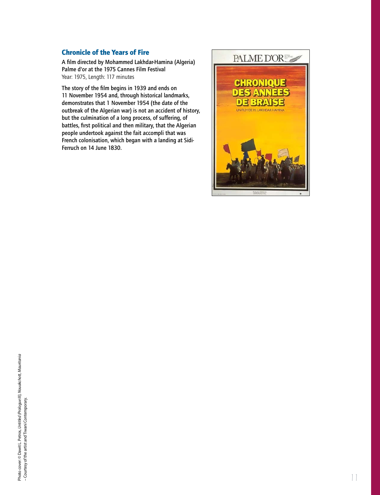#### Chronicle of the Years of Fire

A film directed by Mohammed Lakhdar-Hamina (Algeria) Palme d'or at the 1975 Cannes Film Festival Year: 1975, Length: 117 minutes

The story of the film begins in 1939 and ends on 11 November 1954 and, through historical landmarks, demonstrates that 1 November 1954 (the date of the outbreak of the Algerian war) is not an accident of history, but the culmination of a long process, of suffering, of battles, first political and then military, that the Algerian people undertook against the fait accompli that was French colonisation, which began with a landing at Sidi-Ferruch on 14 June 1830.